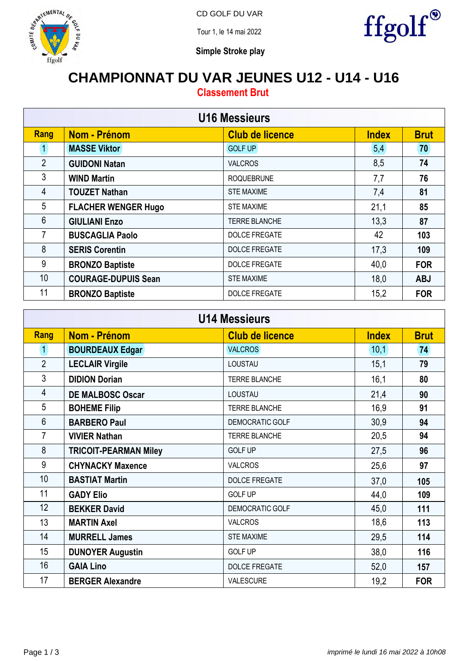

CD GOLF DU VAR

Tour 1, le 14 mai 2022



**Simple Stroke play**

## **CHAMPIONNAT DU VAR JEUNES U12 - U14 - U16**

**Classement Brut**

| <b>U16 Messieurs</b> |                            |                        |              |             |  |
|----------------------|----------------------------|------------------------|--------------|-------------|--|
| Rang                 | Nom - Prénom               | <b>Club de licence</b> | <b>Index</b> | <b>Brut</b> |  |
| 1                    | <b>MASSE Viktor</b>        | <b>GOLF UP</b>         | 5,4          | 70          |  |
| $\overline{2}$       | <b>GUIDONI Natan</b>       | <b>VALCROS</b>         | 8,5          | 74          |  |
| 3                    | <b>WIND Martin</b>         | <b>ROQUEBRUNE</b>      | 7,7          | 76          |  |
| 4                    | <b>TOUZET Nathan</b>       | <b>STE MAXIME</b>      | 7,4          | 81          |  |
| 5                    | <b>FLACHER WENGER Hugo</b> | <b>STE MAXIME</b>      | 21,1         | 85          |  |
| $6\phantom{1}$       | <b>GIULIANI Enzo</b>       | <b>TERRE BLANCHE</b>   | 13,3         | 87          |  |
| $\overline{7}$       | <b>BUSCAGLIA Paolo</b>     | <b>DOLCE FREGATE</b>   | 42           | 103         |  |
| 8                    | <b>SERIS Corentin</b>      | <b>DOLCE FREGATE</b>   | 17,3         | 109         |  |
| 9                    | <b>BRONZO Baptiste</b>     | <b>DOLCE FREGATE</b>   | 40,0         | <b>FOR</b>  |  |
| 10 <sup>°</sup>      | <b>COURAGE-DUPUIS Sean</b> | <b>STE MAXIME</b>      | 18,0         | <b>ABJ</b>  |  |
| 11                   | <b>BRONZO Baptiste</b>     | <b>DOLCE FREGATE</b>   | 15,2         | <b>FOR</b>  |  |

| <b>U14 Messieurs</b> |                              |                        |              |             |
|----------------------|------------------------------|------------------------|--------------|-------------|
| Rang                 | Nom - Prénom                 | <b>Club de licence</b> | <b>Index</b> | <b>Brut</b> |
| $\mathbf{1}$         | <b>BOURDEAUX Edgar</b>       | <b>VALCROS</b>         | 10,1         | 74          |
| $\overline{2}$       | <b>LECLAIR Virgile</b>       | <b>LOUSTAU</b>         | 15,1         | 79          |
| 3                    | <b>DIDION Dorian</b>         | <b>TERRE BLANCHE</b>   | 16,1         | 80          |
| $\overline{4}$       | <b>DE MALBOSC Oscar</b>      | LOUSTAU                | 21,4         | 90          |
| 5                    | <b>BOHEME Filip</b>          | <b>TERRE BLANCHE</b>   | 16,9         | 91          |
| $6\phantom{a}$       | <b>BARBERO Paul</b>          | <b>DEMOCRATIC GOLF</b> | 30,9         | 94          |
| $\overline{7}$       | <b>VIVIER Nathan</b>         | <b>TERRE BLANCHE</b>   | 20,5         | 94          |
| 8                    | <b>TRICOIT-PEARMAN Miley</b> | <b>GOLF UP</b>         | 27,5         | 96          |
| 9                    | <b>CHYNACKY Maxence</b>      | <b>VALCROS</b>         | 25,6         | 97          |
| 10                   | <b>BASTIAT Martin</b>        | <b>DOLCE FREGATE</b>   | 37,0         | 105         |
| 11                   | <b>GADY Elio</b>             | <b>GOLF UP</b>         | 44,0         | 109         |
| 12                   | <b>BEKKER David</b>          | DEMOCRATIC GOLF        | 45,0         | 111         |
| 13                   | <b>MARTIN Axel</b>           | <b>VALCROS</b>         | 18,6         | 113         |
| 14                   | <b>MURRELL James</b>         | <b>STE MAXIME</b>      | 29,5         | 114         |
| 15                   | <b>DUNOYER Augustin</b>      | <b>GOLF UP</b>         | 38,0         | 116         |
| 16                   | <b>GAIA Lino</b>             | <b>DOLCE FREGATE</b>   | 52,0         | 157         |
| 17                   | <b>BERGER Alexandre</b>      | VALESCURE              | 19,2         | <b>FOR</b>  |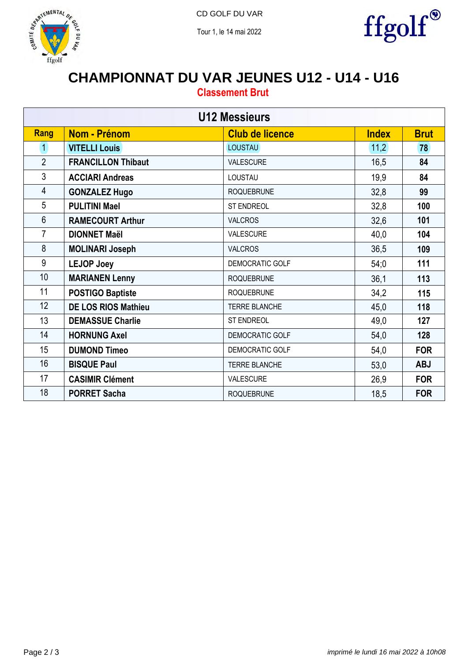

Tour 1, le 14 mai 2022



## **CHAMPIONNAT DU VAR JEUNES U12 - U14 - U16**

**Classement Brut**

| <b>U12 Messieurs</b> |                            |                        |              |             |  |
|----------------------|----------------------------|------------------------|--------------|-------------|--|
| Rang                 | Nom - Prénom               | <b>Club de licence</b> | <b>Index</b> | <b>Brut</b> |  |
| 1                    | <b>VITELLI Louis</b>       | <b>LOUSTAU</b>         | 11,2         | 78          |  |
| $\overline{2}$       | <b>FRANCILLON Thibaut</b>  | VALESCURE              | 16,5         | 84          |  |
| $\mathfrak{Z}$       | <b>ACCIARI Andreas</b>     | LOUSTAU                | 19,9         | 84          |  |
| $\overline{4}$       | <b>GONZALEZ Hugo</b>       | <b>ROQUEBRUNE</b>      | 32,8         | 99          |  |
| 5                    | <b>PULITINI Mael</b>       | ST ENDREOL             | 32,8         | 100         |  |
| $6\phantom{1}$       | <b>RAMECOURT Arthur</b>    | <b>VALCROS</b>         | 32,6         | 101         |  |
| $\overline{7}$       | <b>DIONNET Maël</b>        | <b>VALESCURE</b>       | 40,0         | 104         |  |
| 8                    | <b>MOLINARI Joseph</b>     | <b>VALCROS</b>         | 36,5         | 109         |  |
| 9                    | <b>LEJOP Joey</b>          | DEMOCRATIC GOLF        | 54;0         | 111         |  |
| 10                   | <b>MARIANEN Lenny</b>      | <b>ROQUEBRUNE</b>      | 36,1         | 113         |  |
| 11                   | <b>POSTIGO Baptiste</b>    | <b>ROQUEBRUNE</b>      | 34,2         | 115         |  |
| 12                   | <b>DE LOS RIOS Mathieu</b> | <b>TERRE BLANCHE</b>   | 45,0         | 118         |  |
| 13                   | <b>DEMASSUE Charlie</b>    | <b>ST ENDREOL</b>      | 49,0         | 127         |  |
| 14                   | <b>HORNUNG Axel</b>        | <b>DEMOCRATIC GOLF</b> | 54,0         | 128         |  |
| 15                   | <b>DUMOND Timeo</b>        | DEMOCRATIC GOLF        | 54,0         | <b>FOR</b>  |  |
| 16                   | <b>BISQUE Paul</b>         | <b>TERRE BLANCHE</b>   | 53,0         | <b>ABJ</b>  |  |
| 17                   | <b>CASIMIR Clément</b>     | VALESCURE              | 26,9         | <b>FOR</b>  |  |
| 18                   | <b>PORRET Sacha</b>        | <b>ROQUEBRUNE</b>      | 18,5         | <b>FOR</b>  |  |